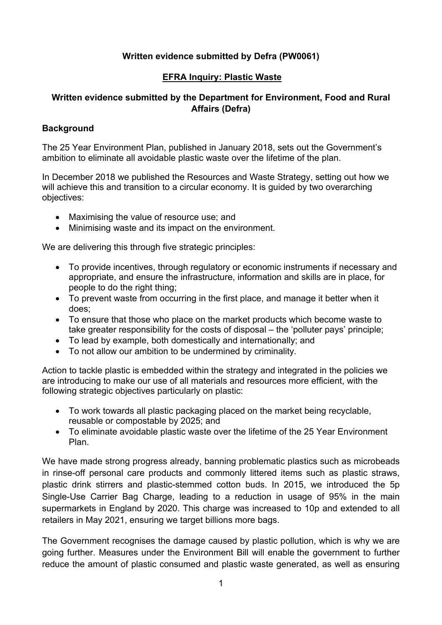## **Written evidence submitted by Defra (PW0061)**

# **EFRA Inquiry: Plastic Waste**

# **Written evidence submitted by the Department for Environment, Food and Rural Affairs (Defra)**

#### **Background**

The 25 Year Environment Plan, published in January 2018, sets out the Government's ambition to eliminate all avoidable plastic waste over the lifetime of the plan.

In December 2018 we published the Resources and Waste Strategy, setting out how we will achieve this and transition to a circular economy. It is quided by two overarching objectives:

- Maximising the value of resource use; and
- Minimising waste and its impact on the environment.

We are delivering this through five strategic principles:

- To provide incentives, through regulatory or economic instruments if necessary and appropriate, and ensure the infrastructure, information and skills are in place, for people to do the right thing;
- To prevent waste from occurring in the first place, and manage it better when it does;
- To ensure that those who place on the market products which become waste to take greater responsibility for the costs of disposal – the 'polluter pays' principle;
- To lead by example, both domestically and internationally; and
- To not allow our ambition to be undermined by criminality.

Action to tackle plastic is embedded within the strategy and integrated in the policies we are introducing to make our use of all materials and resources more efficient, with the following strategic objectives particularly on plastic:

- To work towards all plastic packaging placed on the market being recyclable, reusable or compostable by 2025; and
- To eliminate avoidable plastic waste over the lifetime of the 25 Year Environment Plan.

We have made strong progress already, banning problematic plastics such as microbeads in rinse-off personal care products and commonly littered items such as plastic straws, plastic drink stirrers and plastic-stemmed cotton buds. In 2015, we introduced the 5p Single-Use Carrier Bag Charge, leading to a reduction in usage of 95% in the main supermarkets in England by 2020. This charge was increased to 10p and extended to all retailers in May 2021, ensuring we target billions more bags.

The Government recognises the damage caused by plastic pollution, which is why we are going further. Measures under the Environment Bill will enable the government to further reduce the amount of plastic consumed and plastic waste generated, as well as ensuring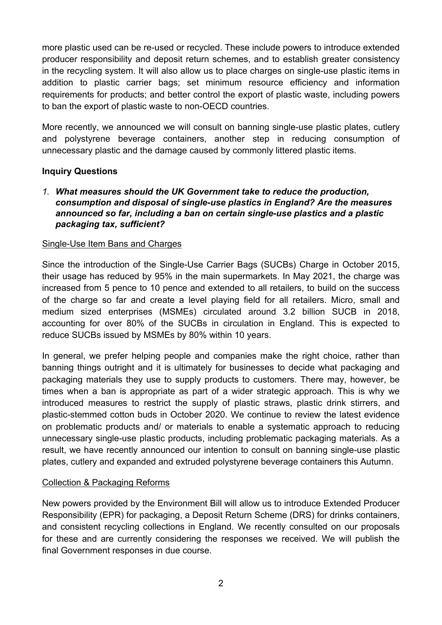more plastic used can be re-used or recycled. These include powers to introduce extended producer responsibility and deposit return schemes, and to establish greater consistency in the recycling system. It will also allow us to place charges on single-use plastic items in addition to plastic carrier bags; set minimum resource efficiency and information requirements for products; and better control the export of plastic waste, including powers to ban the export of plastic waste to non-OECD countries.

More recently, we announced we will consult on banning single-use plastic plates, cutlery and polystyrene beverage containers, another step in reducing consumption of unnecessary plastic and the damage caused by commonly littered plastic items.

## **Inquiry Questions**

*1. What measures should the UK Government take to reduce the production, consumption and disposal of single-use plastics in England? Are the measures announced so far, including a ban on certain single-use plastics and a plastic packaging tax, sufficient?* 

## Single-Use Item Bans and Charges

Since the introduction of the Single-Use Carrier Bags (SUCBs) Charge in October 2015, their usage has reduced by 95% in the main supermarkets. In May 2021, the charge was increased from 5 pence to 10 pence and extended to all retailers, to build on the success of the charge so far and create a level playing field for all retailers. Micro, small and medium sized enterprises (MSMEs) circulated around 3.2 billion SUCB in 2018, accounting for over 80% of the SUCBs in circulation in England. This is expected to reduce SUCBs issued by MSMEs by 80% within 10 years.

In general, we prefer helping people and companies make the right choice, rather than banning things outright and it is ultimately for businesses to decide what packaging and packaging materials they use to supply products to customers. There may, however, be times when a ban is appropriate as part of a wider strategic approach. This is why we introduced measures to restrict the supply of plastic straws, plastic drink stirrers, and plastic-stemmed cotton buds in October 2020. We continue to review the latest evidence on problematic products and/ or materials to enable a systematic approach to reducing unnecessary single-use plastic products, including problematic packaging materials. As a result, we have recently announced our intention to consult on banning single-use plastic plates, cutlery and expanded and extruded polystyrene beverage containers this Autumn.

## Collection & Packaging Reforms

New powers provided by the Environment Bill will allow us to introduce Extended Producer Responsibility (EPR) for packaging, a Deposit Return Scheme (DRS) for drinks containers, and consistent recycling collections in England. We recently consulted on our proposals for these and are currently considering the responses we received. We will publish the final Government responses in due course.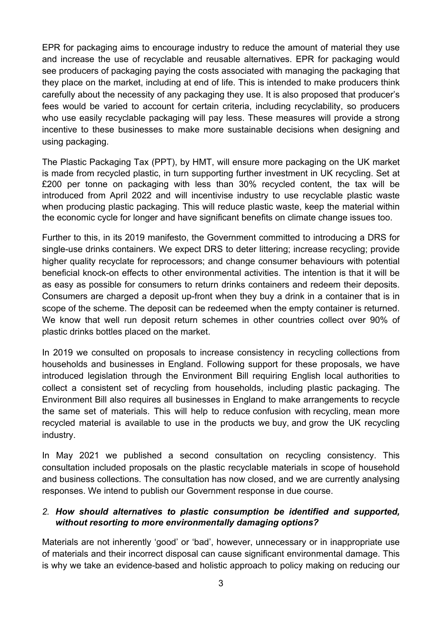EPR for packaging aims to encourage industry to reduce the amount of material they use and increase the use of recyclable and reusable alternatives. EPR for packaging would see producers of packaging paying the costs associated with managing the packaging that they place on the market, including at end of life. This is intended to make producers think carefully about the necessity of any packaging they use. It is also proposed that producer's fees would be varied to account for certain criteria, including recyclability, so producers who use easily recyclable packaging will pay less. These measures will provide a strong incentive to these businesses to make more sustainable decisions when designing and using packaging.

The Plastic Packaging Tax (PPT), by HMT, will ensure more packaging on the UK market is made from recycled plastic, in turn supporting further investment in UK recycling. Set at £200 per tonne on packaging with less than 30% recycled content, the tax will be introduced from April 2022 and will incentivise industry to use recyclable plastic waste when producing plastic packaging. This will reduce plastic waste, keep the material within the economic cycle for longer and have significant benefits on climate change issues too.

Further to this, in its 2019 manifesto, the Government committed to introducing a DRS for single-use drinks containers. We expect DRS to deter littering; increase recycling; provide higher quality recyclate for reprocessors; and change consumer behaviours with potential beneficial knock-on effects to other environmental activities. The intention is that it will be as easy as possible for consumers to return drinks containers and redeem their deposits. Consumers are charged a deposit up-front when they buy a drink in a container that is in scope of the scheme. The deposit can be redeemed when the empty container is returned. We know that well run deposit return schemes in other countries collect over 90% of plastic drinks bottles placed on the market.

In 2019 we consulted on proposals to increase consistency in recycling collections from households and businesses in England. Following support for these proposals, we have introduced legislation through the Environment Bill requiring English local authorities to collect a consistent set of recycling from households, including plastic packaging. The Environment Bill also requires all businesses in England to make arrangements to recycle the same set of materials. This will help to reduce confusion with recycling, mean more recycled material is available to use in the products we buy, and grow the UK recycling industry.

In May 2021 we published a second consultation on recycling consistency. This consultation included proposals on the plastic recyclable materials in scope of household and business collections. The consultation has now closed, and we are currently analysing responses. We intend to publish our Government response in due course.

## *2. How should alternatives to plastic consumption be identified and supported, without resorting to more environmentally damaging options?*

Materials are not inherently 'good' or 'bad', however, unnecessary or in inappropriate use of materials and their incorrect disposal can cause significant environmental damage. This is why we take an evidence-based and holistic approach to policy making on reducing our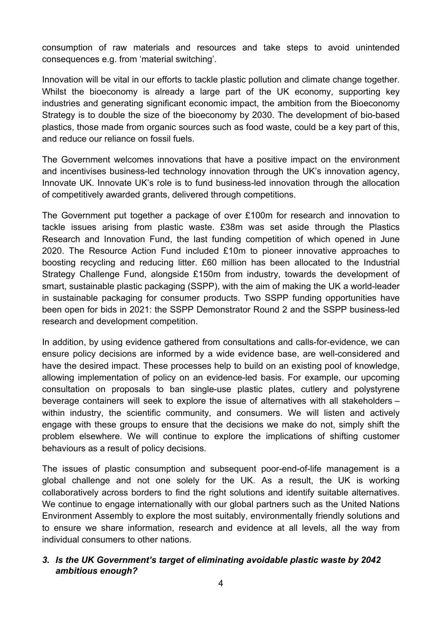consumption of raw materials and resources and take steps to avoid unintended consequences e.g. from 'material switching'.

Innovation will be vital in our efforts to tackle plastic pollution and climate change together. Whilst the bioeconomy is already a large part of the UK economy, supporting key industries and generating significant economic impact, the ambition from the Bioeconomy Strategy is to double the size of the bioeconomy by 2030. The development of bio-based plastics, those made from organic sources such as food waste, could be a key part of this, and reduce our reliance on fossil fuels.

The Government welcomes innovations that have a positive impact on the environment and incentivises business-led technology innovation through the UK's innovation agency, Innovate UK. Innovate UK's role is to fund business-led innovation through the allocation of competitively awarded grants, delivered through competitions.

The Government put together a package of over £100m for research and innovation to tackle issues arising from plastic waste. £38m was set aside through the Plastics Research and Innovation Fund, the last funding competition of which opened in June 2020. The Resource Action Fund included £10m to pioneer innovative approaches to boosting recycling and reducing litter. £60 million has been allocated to the Industrial Strategy Challenge Fund, alongside £150m from industry, towards the development of smart, sustainable plastic packaging (SSPP), with the aim of making the UK a world-leader in sustainable packaging for consumer products. Two SSPP funding opportunities have been open for bids in 2021: the SSPP Demonstrator Round 2 and the SSPP business-led research and development competition.

In addition, by using evidence gathered from consultations and calls-for-evidence, we can ensure policy decisions are informed by a wide evidence base, are well-considered and have the desired impact. These processes help to build on an existing pool of knowledge, allowing implementation of policy on an evidence-led basis. For example, our upcoming consultation on proposals to ban single-use plastic plates, cutlery and polystyrene beverage containers will seek to explore the issue of alternatives with all stakeholders – within industry, the scientific community, and consumers. We will listen and actively engage with these groups to ensure that the decisions we make do not, simply shift the problem elsewhere. We will continue to explore the implications of shifting customer behaviours as a result of policy decisions.

The issues of plastic consumption and subsequent poor-end-of-life management is a global challenge and not one solely for the UK. As a result, the UK is working collaboratively across borders to find the right solutions and identify suitable alternatives. We continue to engage internationally with our global partners such as the United Nations Environment Assembly to explore the most suitably, environmentally friendly solutions and to ensure we share information, research and evidence at all levels, all the way from individual consumers to other nations.

#### *3. Is the UK Government's target of eliminating avoidable plastic waste by 2042 ambitious enough?*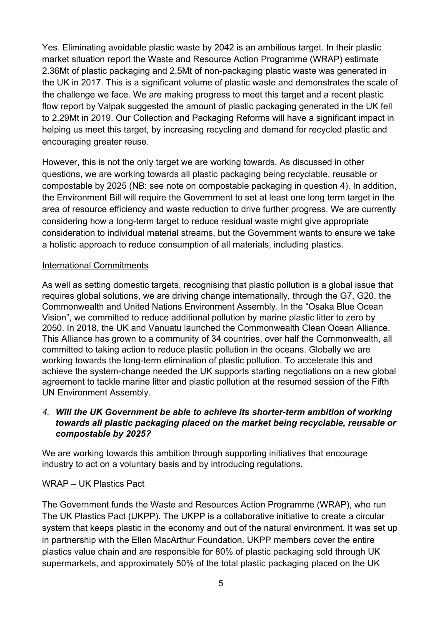Yes. Eliminating avoidable plastic waste by 2042 is an ambitious target. In their plastic market situation report the Waste and Resource Action Programme (WRAP) estimate 2.36Mt of plastic packaging and 2.5Mt of non-packaging plastic waste was generated in the UK in 2017. This is a significant volume of plastic waste and demonstrates the scale of the challenge we face. We are making progress to meet this target and a recent plastic flow report by Valpak suggested the amount of plastic packaging generated in the UK fell to 2.29Mt in 2019. Our Collection and Packaging Reforms will have a significant impact in helping us meet this target, by increasing recycling and demand for recycled plastic and encouraging greater reuse.

However, this is not the only target we are working towards. As discussed in other questions, we are working towards all plastic packaging being recyclable, reusable or compostable by 2025 (NB: see note on compostable packaging in question 4). In addition, the Environment Bill will require the Government to set at least one long term target in the area of resource efficiency and waste reduction to drive further progress. We are currently considering how a long-term target to reduce residual waste might give appropriate consideration to individual material streams, but the Government wants to ensure we take a holistic approach to reduce consumption of all materials, including plastics.

## International Commitments

As well as setting domestic targets, recognising that plastic pollution is a global issue that requires global solutions, we are driving change internationally, through the G7, G20, the Commonwealth and United Nations Environment Assembly. In the "Osaka Blue Ocean Vision", we committed to reduce additional pollution by marine plastic litter to zero by 2050. In 2018, the UK and Vanuatu launched the Commonwealth Clean Ocean Alliance. This Alliance has grown to a community of 34 countries, over half the Commonwealth, all committed to taking action to reduce plastic pollution in the oceans. Globally we are working towards the long-term elimination of plastic pollution. To accelerate this and achieve the system-change needed the UK supports starting negotiations on a new global agreement to tackle marine litter and plastic pollution at the resumed session of the Fifth UN Environment Assembly.

# *4. Will the UK Government be able to achieve its shorter-term ambition of working towards all plastic packaging placed on the market being recyclable, reusable or compostable by 2025?*

We are working towards this ambition through supporting initiatives that encourage industry to act on a voluntary basis and by introducing regulations.

## WRAP – UK Plastics Pact

The Government funds the Waste and Resources Action Programme (WRAP), who run The UK Plastics Pact (UKPP). The UKPP is a collaborative initiative to create a circular system that keeps plastic in the economy and out of the natural environment. It was set up in partnership with the Ellen MacArthur Foundation. UKPP members cover the entire plastics value chain and are responsible for 80% of plastic packaging sold through UK supermarkets, and approximately 50% of the total plastic packaging placed on the UK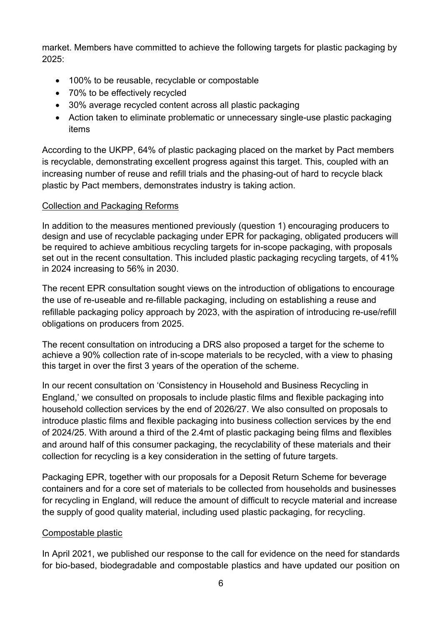market. Members have committed to achieve the following targets for plastic packaging by 2025:

- 100% to be reusable, recyclable or compostable
- 70% to be effectively recycled
- 30% average recycled content across all plastic packaging
- Action taken to eliminate problematic or unnecessary single-use plastic packaging items

According to the UKPP, 64% of plastic packaging placed on the market by Pact members is recyclable, demonstrating excellent progress against this target. This, coupled with an increasing number of reuse and refill trials and the phasing-out of hard to recycle black plastic by Pact members, demonstrates industry is taking action.

# Collection and Packaging Reforms

In addition to the measures mentioned previously (question 1) encouraging producers to design and use of recyclable packaging under EPR for packaging, obligated producers will be required to achieve ambitious recycling targets for in-scope packaging, with proposals set out in the recent consultation. This included plastic packaging recycling targets, of 41% in 2024 increasing to 56% in 2030.

The recent EPR consultation sought views on the introduction of obligations to encourage the use of re-useable and re-fillable packaging, including on establishing a reuse and refillable packaging policy approach by 2023, with the aspiration of introducing re-use/refill obligations on producers from 2025.

The recent consultation on introducing a DRS also proposed a target for the scheme to achieve a 90% collection rate of in-scope materials to be recycled, with a view to phasing this target in over the first 3 years of the operation of the scheme.

In our recent consultation on 'Consistency in Household and Business Recycling in England,' we consulted on proposals to include plastic films and flexible packaging into household collection services by the end of 2026/27. We also consulted on proposals to introduce plastic films and flexible packaging into business collection services by the end of 2024/25. With around a third of the 2.4mt of plastic packaging being films and flexibles and around half of this consumer packaging, the recyclability of these materials and their collection for recycling is a key consideration in the setting of future targets.

Packaging EPR, together with our proposals for a Deposit Return Scheme for beverage containers and for a core set of materials to be collected from households and businesses for recycling in England, will reduce the amount of difficult to recycle material and increase the supply of good quality material, including used plastic packaging, for recycling.

# Compostable plastic

In April 2021, we published our response to the call for evidence on the need for standards for bio-based, biodegradable and compostable plastics and have updated our position on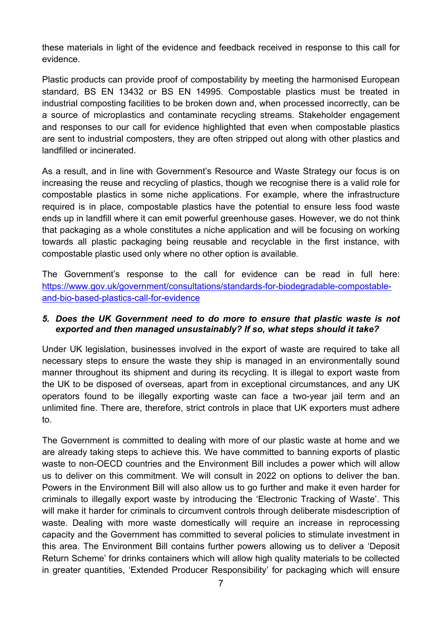these materials in light of the evidence and feedback received in response to this call for evidence.

Plastic products can provide proof of compostability by meeting the harmonised European standard, BS EN 13432 or BS EN 14995. Compostable plastics must be treated in industrial composting facilities to be broken down and, when processed incorrectly, can be a source of microplastics and contaminate recycling streams. Stakeholder engagement and responses to our call for evidence highlighted that even when compostable plastics are sent to industrial composters, they are often stripped out along with other plastics and landfilled or incinerated.

As a result, and in line with Government's Resource and Waste Strategy our focus is on increasing the reuse and recycling of plastics, though we recognise there is a valid role for compostable plastics in some niche applications. For example, where the infrastructure required is in place, compostable plastics have the potential to ensure less food waste ends up in landfill where it can emit powerful greenhouse gases. However, we do not think that packaging as a whole constitutes a niche application and will be focusing on working towards all plastic packaging being reusable and recyclable in the first instance, with compostable plastic used only where no other option is available.

The Government's response to the call for evidence can be read in full here: [https://www.gov.uk/government/consultations/standards-for-biodegradable-compostable](https://www.gov.uk/government/consultations/standards-for-biodegradable-compostable-and-bio-based-plastics-call-for-evidence)[and-bio-based-plastics-call-for-evidence](https://www.gov.uk/government/consultations/standards-for-biodegradable-compostable-and-bio-based-plastics-call-for-evidence)

#### *5. Does the UK Government need to do more to ensure that plastic waste is not exported and then managed unsustainably? If so, what steps should it take?*

Under UK legislation, businesses involved in the export of waste are required to take all necessary steps to ensure the waste they ship is managed in an environmentally sound manner throughout its shipment and during its recycling. It is illegal to export waste from the UK to be disposed of overseas, apart from in exceptional circumstances, and any UK operators found to be illegally exporting waste can face a two-year jail term and an unlimited fine. There are, therefore, strict controls in place that UK exporters must adhere to.

The Government is committed to dealing with more of our plastic waste at home and we are already taking steps to achieve this. We have committed to banning exports of plastic waste to non-OECD countries and the Environment Bill includes a power which will allow us to deliver on this commitment. We will consult in 2022 on options to deliver the ban. Powers in the Environment Bill will also allow us to go further and make it even harder for criminals to illegally export waste by introducing the 'Electronic Tracking of Waste'. This will make it harder for criminals to circumvent controls through deliberate misdescription of waste. Dealing with more waste domestically will require an increase in reprocessing capacity and the Government has committed to several policies to stimulate investment in this area. The Environment Bill contains further powers allowing us to deliver a 'Deposit Return Scheme' for drinks containers which will allow high quality materials to be collected in greater quantities, 'Extended Producer Responsibility' for packaging which will ensure